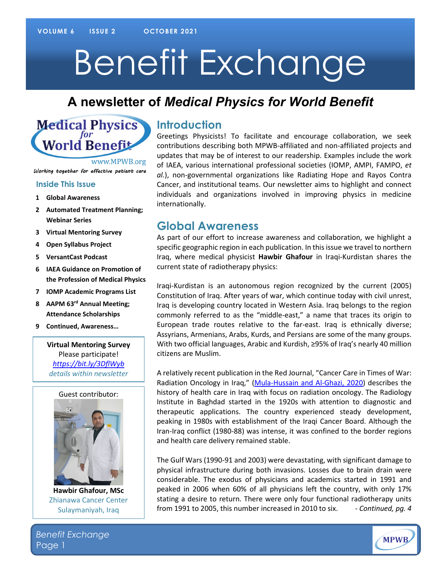# Benefit Exchange

# **A newsletter of** *Medical Physics for World Benefit*



www.MPWB.org

Working together for effective patient care

#### **[Inside This Issue](http://www.mpwb.org)**

- **1 Global Awareness**
- **2 Automated Treatment Planning; Webinar Series**
- **3 Virtual Mentoring Survey**
- **4 Open Syllabus Project**
- **5 VersantCast Podcast**
- **6 IAEA Guidance on Promotion of the Profession of Medical Physics**
- **7 IOMP Academic Programs List**
- **8 AAPM 63rd Annual Meeting; Attendance Scholarships**
- **9 Continued, Awareness…**

**Virtual Mentoring Survey** Please participate! *<https://bit.ly/3DflWyb> details within newsletter*



**Hawbir Ghafour, MSc** Zhianawa Cancer Center Sulaymaniyah, Iraq

#### **Introduction**

Greetings Physicists! To facilitate and encourage collaboration, we seek contributions describing both MPWB-affiliated and non-affiliated projects and updates that may be of interest to our readership. Examples include the work of IAEA, various international professional societies (IOMP, AMPI, FAMPO, *et al.*), non-governmental organizations like Radiating Hope and Rayos Contra Cancer, and institutional teams. Our newsletter aims to highlight and connect individuals and organizations involved in improving physics in medicine internationally.

#### **Global Awareness**

As part of our effort to increase awareness and collaboration, we highlight a specific geographic region in each publication. In this issue we travel to northern Iraq, where medical physicist **Hawbir Ghafour** in Iraqi-Kurdistan shares the current state of radiotherapy physics:

Iraqi-Kurdistan is an autonomous region recognized by the current (2005) Constitution of Iraq. After years of war, which continue today with civil unrest, Iraq is developing country located in Western Asia. Iraq belongs to the region commonly referred to as the "middle-east," a name that traces its origin to European trade routes relative to the far-east. Iraq is ethnically diverse; Assyrians, Armenians, Arabs, Kurds, and Persians are some of the many groups. With two official languages, Arabic and Kurdish, ≥95% of Iraq's nearly 40 million citizens are Muslim.

A relatively recent publication in the Red Journal, "Cancer Care in Times of War: Radiation Oncology in Iraq," [\(Mula-Hussain and Al-Ghazi, 2020\)](https://www.redjournal.org/article/S0360-3016(20)31239-6/fulltext) describes the history of health care in Iraq with focus on radiation oncology. The Radiology Institute in Baghdad started in the 1920s with attention to diagnostic and therapeutic applications. The country experienced steady development, peaking in 1980s with establishment of the Iraqi Cancer Board. Although the Iran-Iraq conflict (1980-88) was intense, it was confined to the border regions and health care delivery remained stable.

The Gulf Wars (1990-91 and 2003) were devastating, with significant damage to physical infrastructure during both invasions. Losses due to brain drain were considerable. The exodus of physicians and academics started in 1991 and peaked in 2006 when 60% of all physicians left the country, with only 17% stating a desire to return. There were only four functional radiotherapy units from 1991 to 2005, this number increased in 2010 to six. - *Continued, pg. 4*

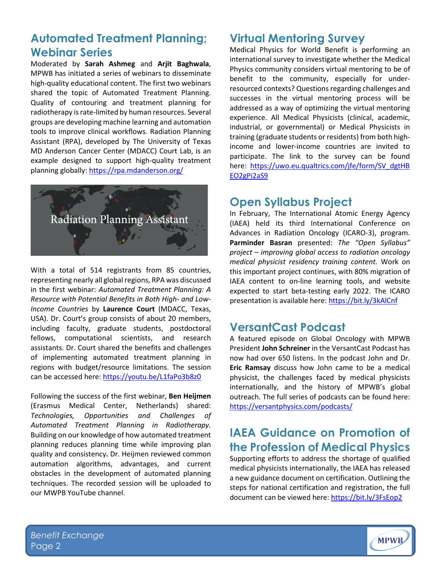### **Automated Treatment Planning; Webinar Series**

Moderated by **Sarah Ashmeg** and **Arjit Baghwala**, MPWB has initiated a series of webinars to disseminate high-quality educational content. The first two webinars shared the topic of Automated Treatment Planning. Quality of contouring and treatment planning for radiotherapy is rate-limited by human resources. Several groups are developing machine learning and automation tools to improve clinical workflows. Radiation Planning Assistant (RPA), developed by The University of Texas MD Anderson Cancer Center (MDACC) Court Lab, is an example designed to support high-quality treatment planning globally[: https://rpa.mdanderson.org/](https://rpa.mdanderson.org/)



With a total of 514 registrants from 85 countries, representing nearly all global regions, RPA was discussed in the first webinar: *Automated Treatment Planning: A Resource with Potential Benefits in Both High- and Low-Income Countries* by **Laurence Court** (MDACC, Texas, USA). Dr. Court's group consists of about 20 members, including faculty, graduate students, postdoctoral fellows, computational scientists, and research assistants. Dr. Court shared the benefits and challenges of implementing automated treatment planning in regions with budget/resource limitations. The session can be accessed here: <https://youtu.be/L1faPo3b8z0>

Following the success of the first webinar, **Ben Heijmen**  (Erasmus Medical Center, Netherlands) shared: *Technologies, Opportunities and Challenges of Automated Treatment Planning in Radiotherapy.*  Building on our knowledge of how automated treatment planning reduces planning time while improving plan quality and consistency**.** Dr. Heijmen reviewed common automation algorithms, advantages, and current obstacles in the development of automated planning techniques. The recorded session will be uploaded to our MWPB YouTube channel.

#### **Virtual Mentoring Survey**

Medical Physics for World Benefit is performing an international survey to investigate whether the Medical Physics community considers virtual mentoring to be of benefit to the community, especially for underresourced contexts? Questions regarding challenges and successes in the virtual mentoring process will be addressed as a way of optimizing the virtual mentoring experience. All Medical Physicists (clinical, academic, industrial, or governmental) or Medical Physicists in training (graduate students or residents) from both highincome and lower-income countries are invited to participate. The link to the survey can be found here: [https://uwo.eu.qualtrics.com/jfe/form/SV\\_dgtHB](https://clicktime.symantec.com/3BBKUY6daCJ3Dg1LHxf8vbG7Vc?u=https%3A%2F%2Fuwo.eu.qualtrics.com%2Fjfe%2Fform%2FSV_dgtHBEO2gPi2aS9) [EO2gPi2aS9](https://clicktime.symantec.com/3BBKUY6daCJ3Dg1LHxf8vbG7Vc?u=https%3A%2F%2Fuwo.eu.qualtrics.com%2Fjfe%2Fform%2FSV_dgtHBEO2gPi2aS9)

#### **Open Syllabus Project**

In February, The International Atomic Energy Agency (IAEA) held its third International Conference on Advances in Radiation Oncology (ICARO-3), program. **Parminder Basran** presented: *The "Open Syllabus" project – improving global access to radiation oncology medical physicist residency training content.* Work on this important project continues, with 80% migration of IAEA content to on-line learning tools, and website expected to start beta-testing early 2022. The ICARO presentation is available here:<https://bit.ly/3kAlCnf>

#### **VersantCast Podcast**

A featured episode on Global Oncology with MPWB President **John Schreiner** in the VersantCast Podcast has now had over 650 listens. In the podcast John and Dr. **Eric Ramsay** discuss how John came to be a medical physicist, the challenges faced by medical physicists internationally, and the history of MPWB's global outreach. The full series of podcasts can be found here: <https://versantphysics.com/podcasts/>

### **IAEA Guidance on Promotion of the Profession of Medical Physics**

Supporting efforts to address the shortage of qualified medical physicists internationally, the IAEA has released a new guidance document on certification. Outlining the steps for national certification and registration, the full document can be viewed here:<https://bit.ly/3FsEop2>

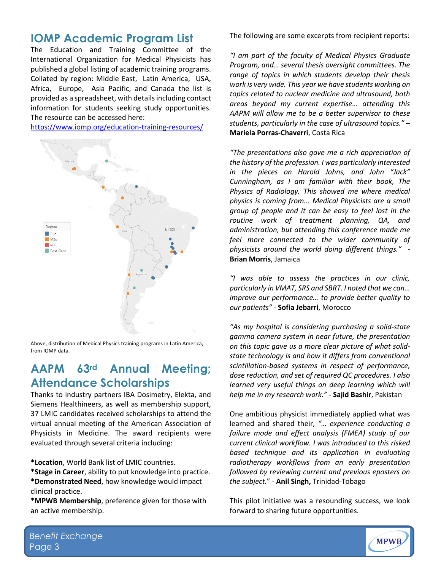#### **IOMP Academic Program List**

The Education and Training Committee of the International Organization for Medical Physicists has published a global listing of academic training programs. Collated by region: [Middle](https://www.iomp.org/wp-content/uploads/2021/09/MP-programme-MEFOMP-1-September-2021.doc) East, Latin [America,](https://www.iomp.org/wp-content/uploads/2021/09/MP-programme-Latin-America-1-September-2021.doc) [USA,](https://www.iomp.org/wp-content/uploads/2021/09/MP-programme-USA-1-September-2021.doc) [Africa,](https://www.iomp.org/wp-content/uploads/2021/09/MP-programme-FAMPO-1-September-2021.doc) [Europe,](https://www.iomp.org/wp-content/uploads/2021/09/MP-programme-Europe-1-September-2021.docx) Asia [Pacific,](https://www.iomp.org/wp-content/uploads/2021/09/MP-programme-Asia-Pacific-1-Sept-2021.doc) and [Canada](https://www.iomp.org/wp-content/uploads/2021/09/MP-programme-Canada-1-September-2021.docx) the list is provided as a spreadsheet, with details including contact information for students seeking study opportunities. The resource can be accessed here:

<https://www.iomp.org/education-training-resources/>



Above, distribution of Medical Physics training programs in Latin America, from IOMP data.

## **AAPM 63rd Annual Meeting; Attendance Scholarships**

Thanks to industry partners IBA Dosimetry, Elekta, and Siemens Healthineers, as well as membership support, 37 LMIC candidates received scholarships to attend the virtual annual meeting of the American Association of Physicists in Medicine. The award recipients were evaluated through several criteria including:

**\*Location**, World Bank list of LMIC countries.

**\*Stage in Career**, ability to put knowledge into practice. **\*Demonstrated Need**, how knowledge would impact clinical practice.

**\*MPWB Membership**, preference given for those with an active membership.

The following are some excerpts from recipient reports:

*"I am part of the faculty of Medical Physics Graduate Program, and… several thesis oversight committees. The range of topics in which students develop their thesis work is very wide. This year we have students working on topics related to nuclear medicine and ultrasound, both areas beyond my current expertise… attending this AAPM will allow me to be a better supervisor to these students, particularly in the case of ultrasound topics."* – **Mariela Porras-Chaverri**, Costa Rica

*"The presentations also gave me a rich appreciation of the history of the profession. I was particularly interested in the pieces on Harold Johns, and John "Jack" Cunningham, as I am familiar with their book, The Physics of Radiology. This showed me where medical physics is coming from... Medical Physicists are a small group of people and it can be easy to feel lost in the routine work of treatment planning, QA, and administration, but attending this conference made me feel more connected to the wider community of physicists around the world doing different things." -* **Brian Morris**, Jamaica

*"I was able to assess the practices in our clinic, particularly in VMAT, SRS and SBRT. I noted that we can… improve our performance… to provide better quality to our patients"* - **Sofia Jebarri**, Morocco

*"As my hospital is considering purchasing a solid-state gamma camera system in near future, the presentation on this topic gave us a more clear picture of what solidstate technology is and how it differs from conventional scintillation-based systems in respect of performance, dose reduction, and set of required QC procedures. I also learned very useful things on deep learning which will help me in my research work."* - **Sajid Bashir**, Pakistan

One ambitious physicist immediately applied what was learned and shared their, *"… experience conducting a failure mode and effect analysis (FMEA) study of our current clinical workflow. I was introduced to this risked based technique and its application in evaluating radiotherapy workflows from an early presentation followed by reviewing current and previous eposters on the subject.*" - **Anil Singh,** Trinidad-Tobago

This pilot initiative was a resounding success, we look forward to sharing future opportunities.